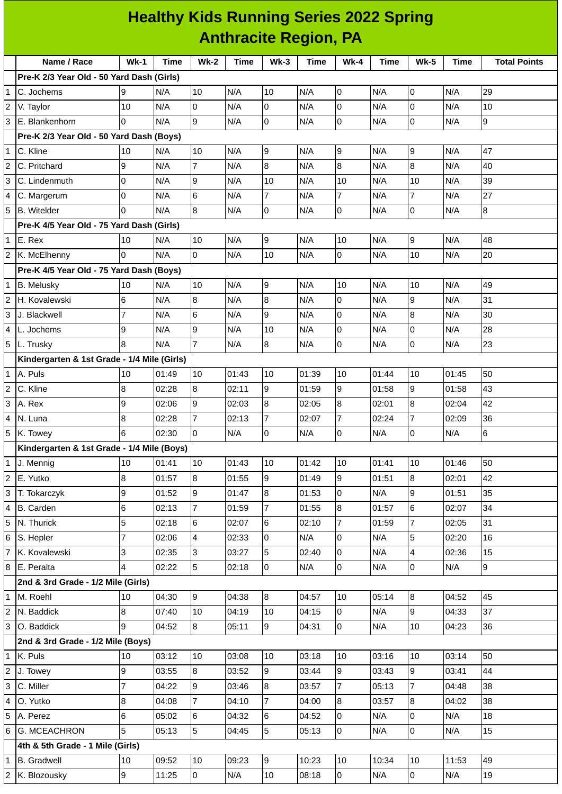|                                           | <b>Healthy Kids Running Series 2022 Spring</b><br><b>Anthracite Region, PA</b> |        |      |        |      |        |      |        |             |             |      |                     |  |
|-------------------------------------------|--------------------------------------------------------------------------------|--------|------|--------|------|--------|------|--------|-------------|-------------|------|---------------------|--|
|                                           | Name / Race                                                                    | $Wk-1$ | Time | $Wk-2$ | Time | $Wk-3$ | Time | $Wk-4$ | <b>Time</b> | <b>Wk-5</b> | Time | <b>Total Points</b> |  |
| Pre-K 2/3 Year Old - 50 Yard Dash (Girls) |                                                                                |        |      |        |      |        |      |        |             |             |      |                     |  |
|                                           | 1 IC. Jochems                                                                  |        | N/A  | 10     | N/A  | 10     | N/A  |        | N/A         |             | N/A  | 29                  |  |
|                                           | 2 V. Taylor                                                                    | 10     | N/A  |        | N/A  |        | IN/A |        | N/A         |             | IN/A | 10                  |  |
|                                           | 3 E. Blankenhorn                                                               |        | N/A  | 19     | IN/A |        | N/A  |        | N/A         |             | IN/A | 19                  |  |
|                                           | <b>Pre-K 2/3 Year Old - 50 Yard Dash (Boys)</b>                                |        |      |        |      |        |      |        |             |             |      |                     |  |
|                                           |                                                                                |        |      |        |      |        |      |        |             |             |      |                     |  |

Ξ

C. Kline 10 N/A 10 N/A 9 N/A 9 N/A 9 N/A 47

|   | 2 C. Pritchard                              | 19 | N/A   | 7  | N/A   | 8  | N/A   | 8  | N/A   | 8        | N/A   | 40 |
|---|---------------------------------------------|----|-------|----|-------|----|-------|----|-------|----------|-------|----|
|   | 3 C. Lindenmuth                             |    | N/A   | 9  | N/A   | 10 | N/A   | 10 | N/A   | 10       | N/A   | 39 |
|   | 4 C. Margerum                               |    | N/A   | 6  | N/A   |    | N/A   |    | N/A   |          | N/A   | 27 |
|   | 5 B. Witelder                               |    | N/A   | 8  | N/A   | l0 | N/A   | I0 | N/A   | 0        | N/A   | 8  |
|   | Pre-K 4/5 Year Old - 75 Yard Dash (Girls)   |    |       |    |       |    |       |    |       |          |       |    |
|   | $1 \mathsf{E}$ . Rex                        | 10 | N/A   | 10 | N/A   | 9  | N/A   | 10 | N/A   | 9        | N/A   | 48 |
|   | 2 K. McElhenny                              | 0  | N/A   | 0  | N/A   | 10 | N/A   | IО | N/A   | 10       | N/A   | 20 |
|   | Pre-K 4/5 Year Old - 75 Yard Dash (Boys)    |    |       |    |       |    |       |    |       |          |       |    |
|   | 1 B. Meluskv                                | 10 | N/A   | 10 | N/A   | Ι9 | N/A   | 10 | N/A   | 10       | N/A   | 49 |
|   | 2 H. Kovalewski                             | 6  | N/A   | 8  | N/A   | 8  | N/A   | 10 | N/A   | 9        | N/A   | 31 |
| 3 | J. Blackwell                                |    | N/A   | 6  | N/A   | 9  | N/A   | 10 | N/A   | 8        | N/A   | 30 |
| 4 | L. Jochems                                  | 9  | N/A   | 9  | N/A   | 10 | N/A   | ıо | N/A   | $\Omega$ | N/A   | 28 |
|   | 5 L. Trusky                                 | R. | N/A   |    | N/A   | 8  | N/A   | I0 | N/A   | 0        | N/A   | 23 |
|   | Kindergarten & 1st Grade - 1/4 Mile (Girls) |    |       |    |       |    |       |    |       |          |       |    |
|   | $1$ A. Puls                                 | 10 | 01:49 | 10 | 01:43 | 10 | 01:39 | 10 | 01:44 | 10       | 01:45 | 50 |
|   | 2 C. Kline                                  | 8  | 02:28 | 8  | 02:11 | 9  | 01:59 | 9  | 01:58 | 9        | 01:58 | 43 |

| IЗ             | A. Rex                                     | 9              | 02:06 | 19             | 02:03 | 8               | 02:05 | 8              | 02:01 | 8              | 02:04 | 42 |  |
|----------------|--------------------------------------------|----------------|-------|----------------|-------|-----------------|-------|----------------|-------|----------------|-------|----|--|
| $\overline{4}$ | N. Luna                                    | 8              | 02:28 | $\overline{7}$ | 02:13 |                 | 02:07 | $\overline{7}$ | 02:24 | $\overline{7}$ | 02:09 | 36 |  |
| 5              | K. Towey                                   | 6              | 02:30 | $\overline{0}$ | N/A   | $\overline{0}$  | N/A   | 0              | N/A   | 0              | N/A   | 6  |  |
|                | Kindergarten & 1st Grade - 1/4 Mile (Boys) |                |       |                |       |                 |       |                |       |                |       |    |  |
| $\overline{1}$ | J. Mennig                                  | 10             | 01:41 | 10             | 01:43 | 10              | 01:42 | 10             | 01:41 | 10             | 01:46 | 50 |  |
| $\vert$ 2      | E. Yutko                                   | 8              | 01:57 | 8              | 01:55 | 9               | 01:49 | 9              | 01:51 | 8              | 02:01 | 42 |  |
| 3              | T. Tokarczyk                               | 9              | 01:52 | 9              | 01:47 | 8               | 01:53 | 0              | N/A   | 9              | 01:51 | 35 |  |
| $\overline{4}$ | B. Carden                                  | 6              | 02:13 | $\overline{7}$ | 01:59 | $\overline{7}$  | 01:55 | 8              | 01:57 | 6              | 02:07 | 34 |  |
| 5              | N. Thurick                                 | 5              | 02:18 | 6              | 02:07 | $6\phantom{.}6$ | 02:10 | 7              | 01:59 | $\overline{7}$ | 02:05 | 31 |  |
| 6              | S. Hepler                                  | $\overline{7}$ | 02:06 | $\overline{4}$ | 02:33 | $\overline{0}$  | N/A   | $\overline{0}$ | N/A   | 5              | 02:20 | 16 |  |
| 17             | K. Kovalewski                              | 3              | 02:35 | 3              | 03:27 | 5               | 02:40 | $\overline{0}$ | N/A   | 4              | 02:36 | 15 |  |
| 8              | E. Peralta                                 | 4              | 02:22 | 5              | 02:18 | $\mathsf{O}$    | N/A   | 0              | N/A   | 0              | N/A   | 9  |  |
|                | 2nd & 3rd Grade - 1/2 Mile (Girls)         |                |       |                |       |                 |       |                |       |                |       |    |  |
| $\overline{1}$ | M. Roehl                                   | 10             | 04:30 | 9              | 04:38 | $8\,$           | 04:57 | 10             | 05:14 | $\bf{8}$       | 04:52 | 45 |  |
| $\overline{2}$ | N. Baddick                                 | 8              | 07:40 | 10             | 04:19 | 10              | 04:15 | $\Omega$       | N/A   | 9              | 04:33 | 37 |  |
| Iз             | O. Baddick                                 | 9              | 04:52 | 8              | 05:11 | 9               | 04:31 | $\Omega$       | N/A   | 10             | 04:23 | 36 |  |
|                | 2nd & 3rd Grade - 1/2 Mile (Boys)          |                |       |                |       |                 |       |                |       |                |       |    |  |
| $\mathbf{1}$   | K. Puls                                    | 10             | 03:12 | 10             | 03:08 | 10              | 03:18 | 10             | 03:16 | 10             | 03:14 | 50 |  |
| $\overline{2}$ | J. Towey                                   | 9              | 03:55 | 8              | 03:52 | 9               | 03:44 | 9              | 03:43 | 9              | 03:41 | 44 |  |
| 3              | C. Miller                                  | $\overline{7}$ | 04:22 | 9              | 03:46 | 8               | 03:57 | 7              | 05:13 | 7              | 04:48 | 38 |  |
| $\overline{4}$ | O. Yutko                                   | 8              | 04:08 | $\overline{7}$ | 04:10 | $\overline{7}$  | 04:00 | 8              | 03:57 | 8              | 04:02 | 38 |  |
| 5              | A. Perez                                   | 6              | 05:02 | 6              | 04:32 | 6               | 04:52 | 0              | N/A   | 0              | N/A   | 18 |  |
| 6              | <b>G. MCEACHRON</b>                        | 5              | 05:13 | 5              | 04:45 | 5               | 05:13 | 0              | N/A   | 0              | N/A   | 15 |  |
|                | 4th & 5th Grade - 1 Mile (Girls)           |                |       |                |       |                 |       |                |       |                |       |    |  |
| 1              | <b>B.</b> Gradwell                         | 10             | 09:52 | 10             | 09:23 | 9               | 10:23 | 10             | 10:34 | 10             | 11:53 | 49 |  |

K. Blozousky 9 11:25 0 N/A 10 08:18 0 N/A 0 N/A 19